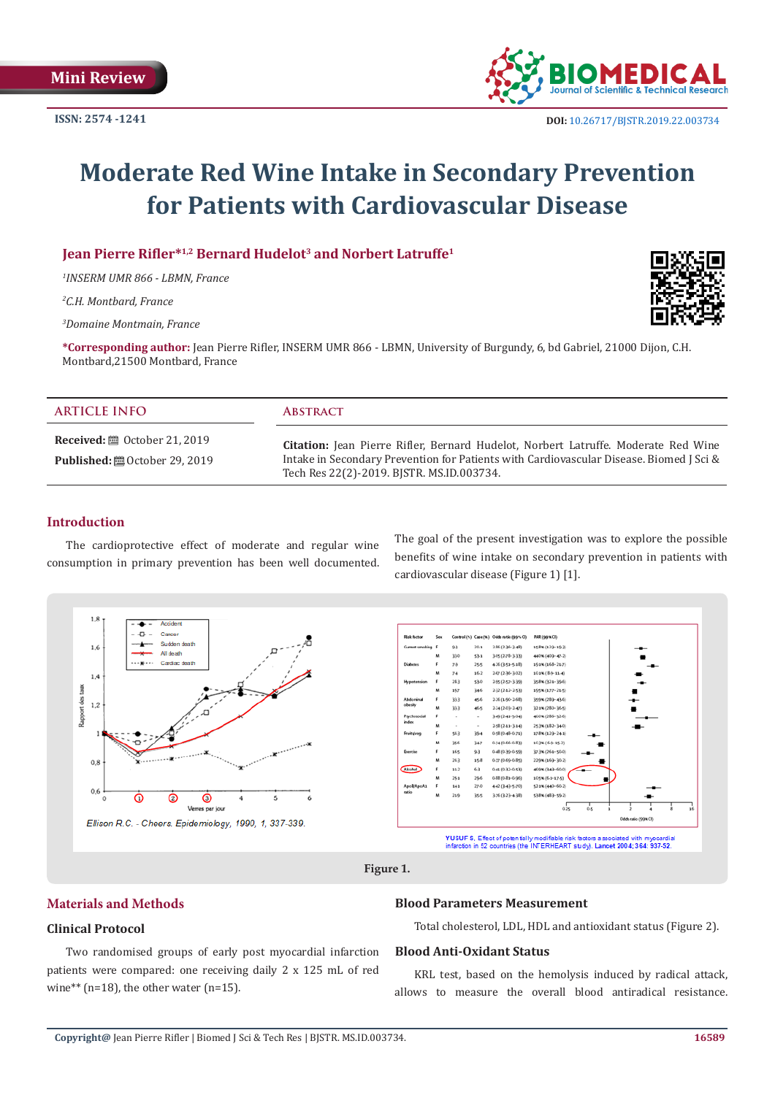

# **Moderate Red Wine Intake in Secondary Prevention for Patients with Cardiovascular Disease**

**Jean Pierre Rifler\*<sup>1,2</sup> Bernard Hudelot<sup>3</sup> and Norbert Latruffe<sup>1</sup>** 

*1 INSERM UMR 866 - LBMN, France* 

*2 C.H. Montbard, France*

*3 Domaine Montmain, France*

**\*Corresponding author:** Jean Pierre Rifler, INSERM UMR 866 - LBMN, University of Burgundy, 6, bd Gabriel, 21000 Dijon, C.H. Montbard,21500 Montbard, France

| <b>ARTICLE INFO</b>                                                         | <b>ABSTRACT</b>                                                                                                                                                                                                            |
|-----------------------------------------------------------------------------|----------------------------------------------------------------------------------------------------------------------------------------------------------------------------------------------------------------------------|
| <b>Received:</b> . October 21, 2019<br><b>Published:</b> 圖 October 29, 2019 | Citation: Jean Pierre Rifler, Bernard Hudelot, Norbert Latruffe. Moderate Red Wine<br>Intake in Secondary Prevention for Patients with Cardiovascular Disease. Biomed J Sci &<br>Tech Res 22(2)-2019. BJSTR. MS.ID.003734. |

## **Introduction**

The cardioprotective effect of moderate and regular wine consumption in primary prevention has been well documented. The goal of the present investigation was to explore the possible benefits of wine intake on secondary prevention in patients with cardiovascular disease (Figure 1) [1].



# **Materials and Methods**

## **Clinical Protocol**

Two randomised groups of early post myocardial infarction patients were compared: one receiving daily 2 x 125 mL of red wine\*\* (n=18), the other water (n=15).

#### **Blood Parameters Measurement**

Total cholesterol, LDL, HDL and antioxidant status (Figure 2).

#### **Blood Anti-Oxidant Status**

KRL test, based on the hemolysis induced by radical attack, allows to measure the overall blood antiradical resistance.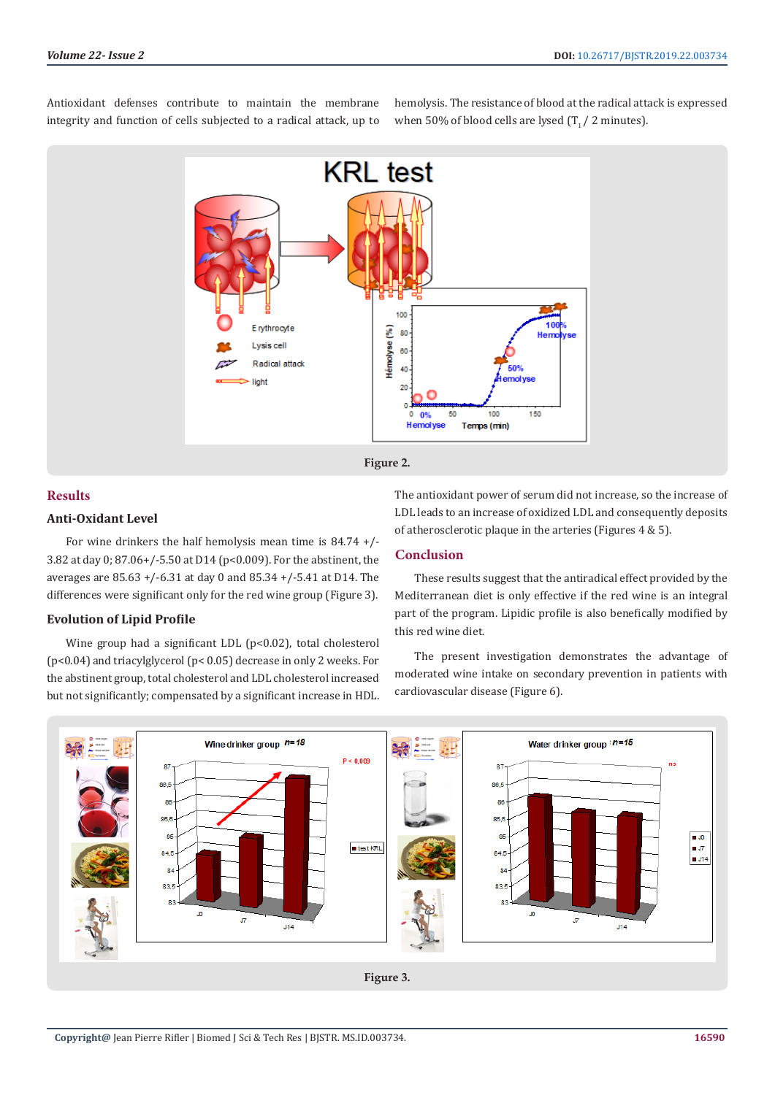Antioxidant defenses contribute to maintain the membrane integrity and function of cells subjected to a radical attack, up to hemolysis. The resistance of blood at the radical attack is expressed when 50% of blood cells are lysed  $(T_1 / 2 \text{ minutes})$ .



# **Results**

# **Anti-Oxidant Level**

For wine drinkers the half hemolysis mean time is 84.74 +/- 3.82 at day 0; 87.06+/-5.50 at D14 (p<0.009). For the abstinent, the averages are 85.63 +/-6.31 at day 0 and 85.34 +/-5.41 at D14. The differences were significant only for the red wine group (Figure 3).

# **Evolution of Lipid Profile**

Wine group had a significant LDL (p<0.02), total cholesterol (p<0.04) and triacylglycerol (p< 0.05) decrease in only 2 weeks. For the abstinent group, total cholesterol and LDL cholesterol increased but not significantly; compensated by a significant increase in HDL.

The antioxidant power of serum did not increase, so the increase of LDL leads to an increase of oxidized LDL and consequently deposits of atherosclerotic plaque in the arteries (Figures 4 & 5).

# **Conclusion**

These results suggest that the antiradical effect provided by the Mediterranean diet is only effective if the red wine is an integral part of the program. Lipidic profile is also benefically modified by this red wine diet.

The present investigation demonstrates the advantage of moderated wine intake on secondary prevention in patients with cardiovascular disease (Figure 6).

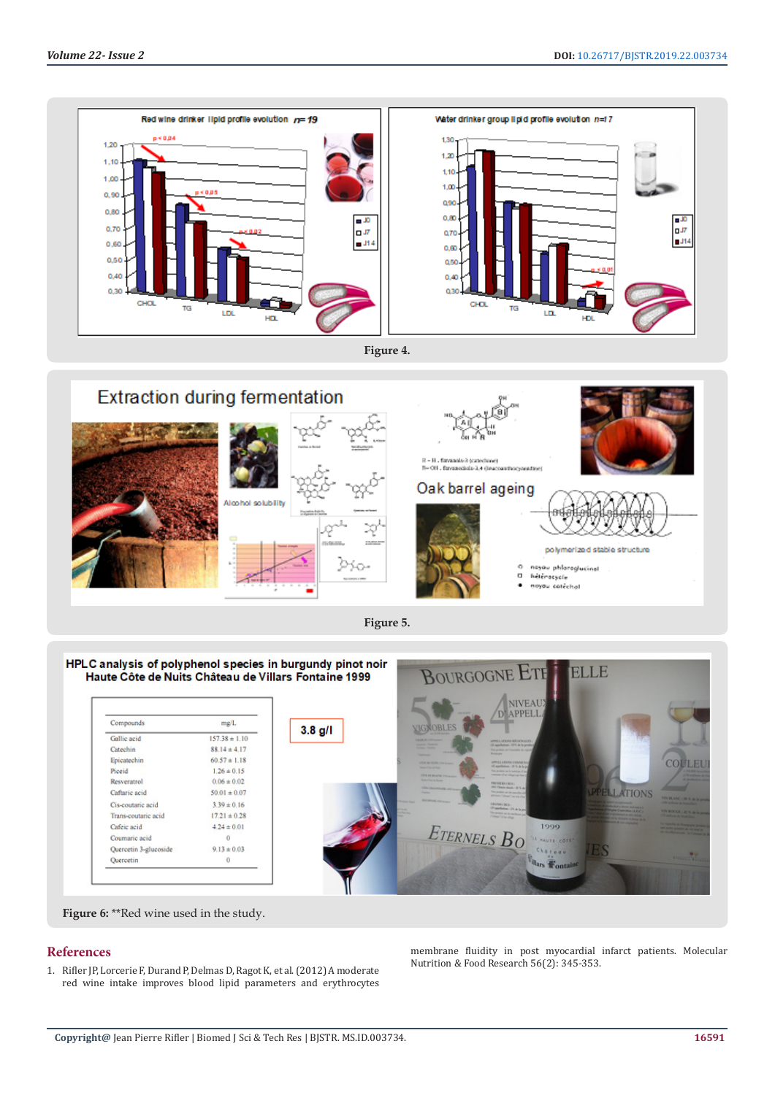

**Figure 4.**



**Figure 5.**



**Figure 6:** \*\*Red wine used in the study.

## **References**

1. [Rifler JP, Lorcerie F, Durand P, Delmas D, Ragot K, et al. \(2012\) A moderate](https://www.ncbi.nlm.nih.gov/pubmed/22419533)  [red wine intake improves blood lipid parameters and erythrocytes](https://www.ncbi.nlm.nih.gov/pubmed/22419533)  [membrane fluidity in post myocardial infarct patients. Molecular](https://www.ncbi.nlm.nih.gov/pubmed/22419533) [Nutrition & Food Research 56\(2\): 345-353.](https://www.ncbi.nlm.nih.gov/pubmed/22419533)